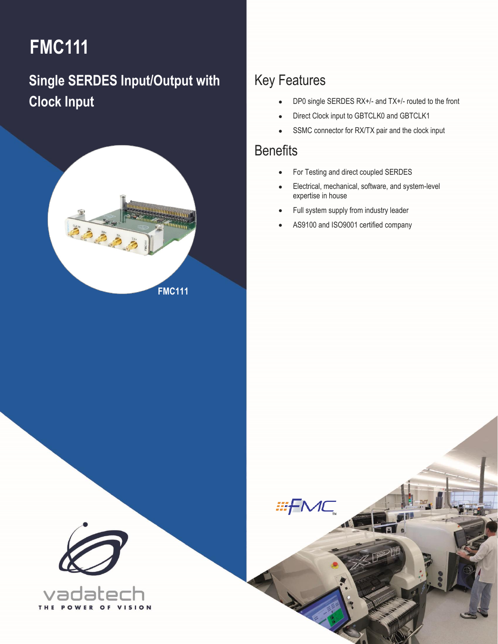# **FMC111**

# **Single SERDES Input/Output with Clock Input**



## Key Features

- DP0 single SERDES RX+/- and TX+/- routed to the front
- Direct Clock input to GBTCLK0 and GBTCLK1
- SSMC connector for RX/TX pair and the clock input

### **Benefits**

1 FMC111 – Single SERDES Input/Output with Clock Input **[info@vadatech.com](mailto:info@vadatech.com) [| www.vadatech.com](file:///C:/SVN/Datasheets/FMCs/FMC220/Trunk/www.vadatech.com)**

**EFMC** 

- For Testing and direct coupled SERDES
- Electrical, mechanical, software, and system-level expertise in house
- Full system supply from industry leader
- AS9100 and ISO9001 certified company

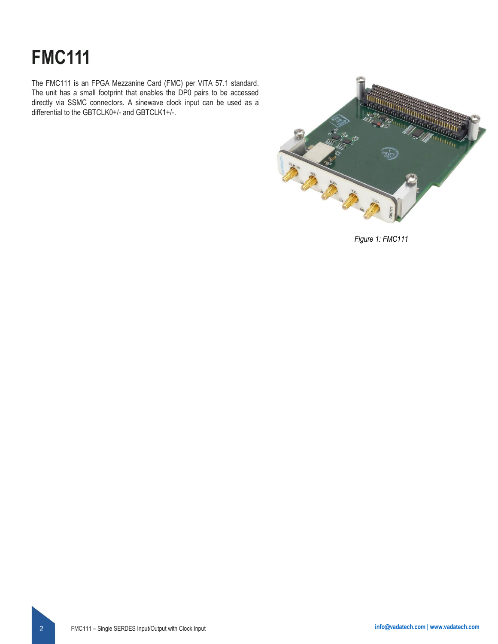# **FMC111**

The FMC111 is an FPGA Mezzanine Card (FMC) per VITA 57.1 standard. The unit has a small footprint that enables the DP0 pairs to be accessed directly via SSMC connectors. A sinewave clock input can be used as a differential to the GBTCLK0+/- and GBTCLK1+/-.



*Figure 1: FMC111*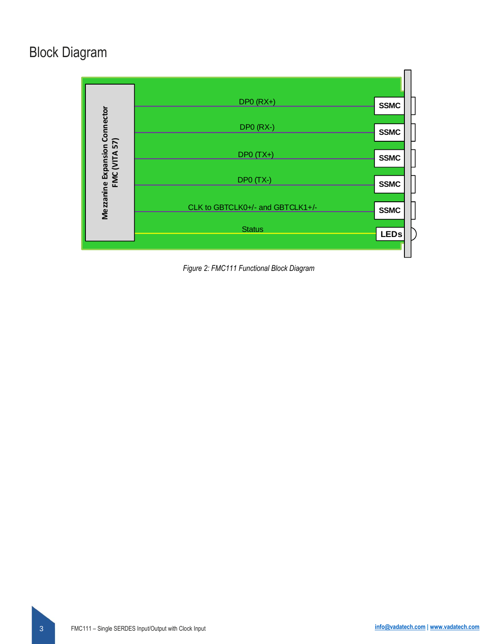# Block Diagram



*Figure 2: FMC111 Functional Block Diagram*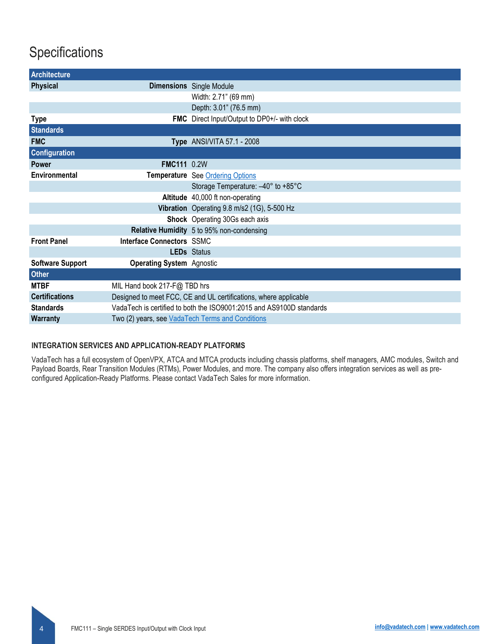## **Specifications**

| <b>Architecture</b>     |                                                                      |                                              |  |
|-------------------------|----------------------------------------------------------------------|----------------------------------------------|--|
| <b>Physical</b>         |                                                                      | <b>Dimensions</b> Single Module              |  |
|                         |                                                                      | Width: 2.71" (69 mm)                         |  |
|                         |                                                                      | Depth: 3.01" (76.5 mm)                       |  |
| <b>Type</b>             |                                                                      | FMC Direct Input/Output to DP0+/- with clock |  |
| <b>Standards</b>        |                                                                      |                                              |  |
| <b>FMC</b>              |                                                                      | <b>Type</b> ANSI/VITA 57.1 - 2008            |  |
| <b>Configuration</b>    |                                                                      |                                              |  |
| <b>Power</b>            | <b>FMC111 0.2W</b>                                                   |                                              |  |
| Environmental           |                                                                      | Temperature See Ordering Options             |  |
|                         |                                                                      | Storage Temperature: -40° to +85°C           |  |
|                         |                                                                      | Altitude 40,000 ft non-operating             |  |
|                         |                                                                      | Vibration Operating 9.8 m/s2 (1G), 5-500 Hz  |  |
|                         |                                                                      | Shock Operating 30Gs each axis               |  |
|                         |                                                                      | Relative Humidity 5 to 95% non-condensing    |  |
| <b>Front Panel</b>      | <b>Interface Connectors SSMC</b>                                     |                                              |  |
|                         |                                                                      | <b>LEDs</b> Status                           |  |
| <b>Software Support</b> | <b>Operating System Agnostic</b>                                     |                                              |  |
| <b>Other</b>            |                                                                      |                                              |  |
| <b>MTBF</b>             | MIL Hand book 217-F@ TBD hrs                                         |                                              |  |
| <b>Certifications</b>   | Designed to meet FCC, CE and UL certifications, where applicable     |                                              |  |
| <b>Standards</b>        | VadaTech is certified to both the ISO9001:2015 and AS9100D standards |                                              |  |
| <b>Warranty</b>         | Two (2) years, see VadaTech Terms and Conditions                     |                                              |  |

### **INTEGRATION SERVICES AND APPLICATION-READY PLATFORMS**

VadaTech has a full ecosystem of OpenVPX, ATCA and MTCA products including chassis platforms, shelf managers, AMC modules, Switch and Payload Boards, Rear Transition Modules (RTMs), Power Modules, and more. The company also offers integration services as well as preconfigured Application-Ready Platforms. Please contact VadaTech Sales for more information.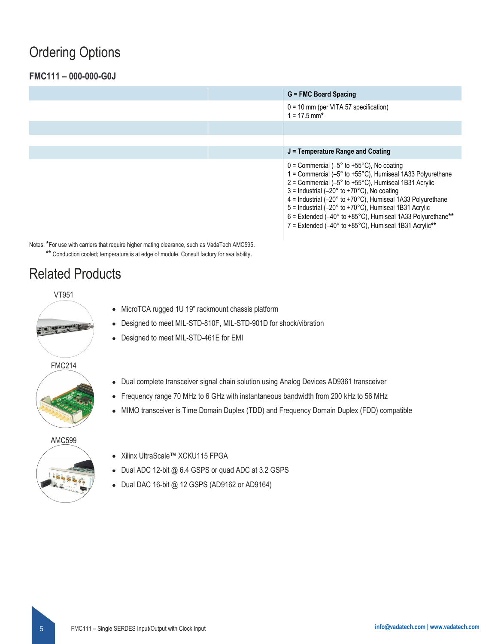### <span id="page-4-0"></span>Ordering Options

### **FMC111 – 000-000-G0J**

|  | $G = FMC$ Board Spacing                                                                                                                                                                                                                                                                                                                                                                                                                                                                                                                                                              |
|--|--------------------------------------------------------------------------------------------------------------------------------------------------------------------------------------------------------------------------------------------------------------------------------------------------------------------------------------------------------------------------------------------------------------------------------------------------------------------------------------------------------------------------------------------------------------------------------------|
|  | $0 = 10$ mm (per VITA 57 specification)<br>$1 = 17.5$ mm*                                                                                                                                                                                                                                                                                                                                                                                                                                                                                                                            |
|  |                                                                                                                                                                                                                                                                                                                                                                                                                                                                                                                                                                                      |
|  |                                                                                                                                                                                                                                                                                                                                                                                                                                                                                                                                                                                      |
|  | $J =$ Temperature Range and Coating                                                                                                                                                                                                                                                                                                                                                                                                                                                                                                                                                  |
|  | $0 =$ Commercial (-5 $^{\circ}$ to +55 $^{\circ}$ C), No coating<br>1 = Commercial $(-5^\circ$ to $+55^\circ$ C), Humiseal 1A33 Polyurethane<br>$2 =$ Commercial (-5 $\degree$ to +55 $\degree$ C), Humiseal 1B31 Acrylic<br>$3 =$ Industrial (-20 $\degree$ to +70 $\degree$ C), No coating<br>$4 =$ Industrial (-20 $\degree$ to +70 $\degree$ C), Humiseal 1A33 Polyurethane<br>5 = Industrial (-20° to +70°C), Humiseal 1B31 Acrylic<br>$6$ = Extended (-40 $\degree$ to +85 $\degree$ C), Humiseal 1A33 Polyurethane**<br>7 = Extended (-40° to +85°C), Humiseal 1B31 Acrylic** |

Notes: **\***For use with carriers that require higher mating clearance, such as VadaTech AMC595. **\*\*** Conduction cooled; temperature is at edge of module. Consult factory for availability.

### Related Products

VT951

- MicroTCA rugged 1U 19" rackmount chassis platform • Designed to meet MIL-STD-810F, MIL-STD-901D for shock/vibration
- Designed to meet MIL-STD-461E for EMI
- FMC214



- Frequency range 70 MHz to 6 GHz with instantaneous bandwidth from 200 kHz to 56 MHz
- MIMO transceiver is Time Domain Duplex (TDD) and Frequency Domain Duplex (FDD) compatible

#### AMC599



- Xilinx UltraScale™ XCKU115 FPGA
- Dual ADC 12-bit @ 6.4 GSPS or quad ADC at 3.2 GSPS
- Dual DAC 16-bit @ 12 GSPS (AD9162 or AD9164)